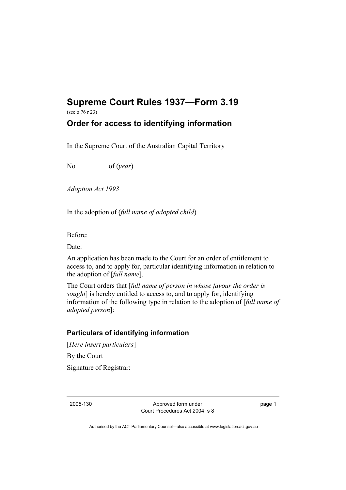## **Supreme Court Rules 1937—Form 3.19**

(see o 76 r 23)

## **Order for access to identifying information**

In the Supreme Court of the Australian Capital Territory

No of (*year*)

*Adoption Act 1993* 

In the adoption of (*full name of adopted child*)

Before:

Date:

An application has been made to the Court for an order of entitlement to access to, and to apply for, particular identifying information in relation to the adoption of [*full name*].

The Court orders that [*full name of person in whose favour the order is sought*] is hereby entitled to access to, and to apply for, identifying information of the following type in relation to the adoption of [*full name of adopted person*]:

## **Particulars of identifying information**

[*Here insert particulars*] By the Court Signature of Registrar:

2005-130 Approved form under Court Procedures Act 2004, s 8 page 1

Authorised by the ACT Parliamentary Counsel—also accessible at www.legislation.act.gov.au